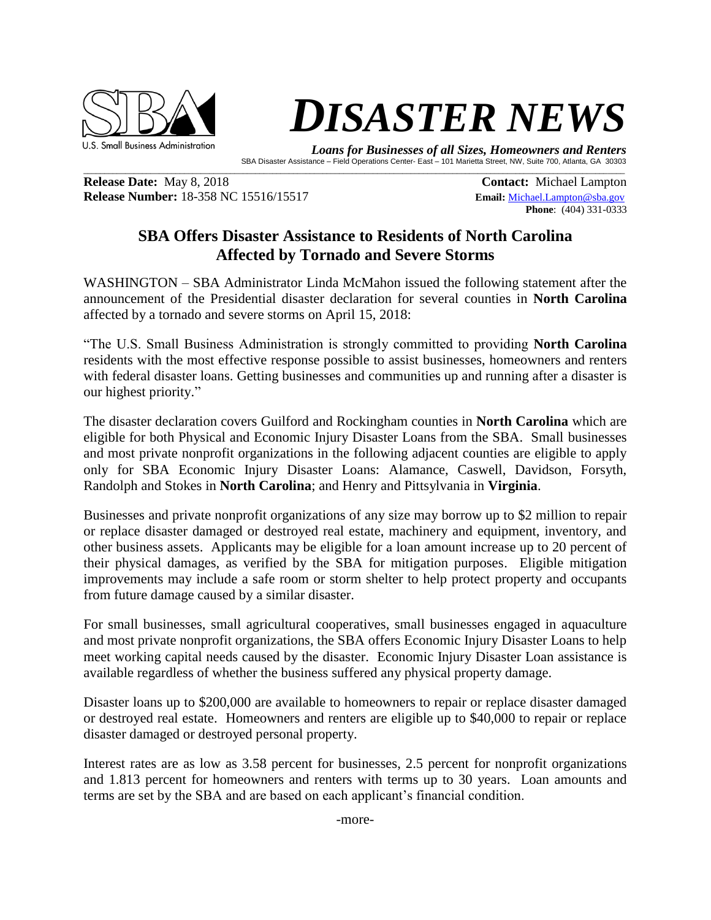

## **DISASTER NEWS**

 *Loans for Businesses of all Sizes, Homeowners and Renters*  SBA Disaster Assistance – Field Operations Center- East – 101 Marietta Street, NW, Suite 700, Atlanta, GA 30303

**Release Date:** May 8, 2018 **Contact: Michael Lampton Release Number:** 18-358 NC 15516/15517 **Email:** [Michael.Lampton@sba.gov](mailto:Michael.Lampton@sba.gov)

**Phone**: (404) 331-0333

## **SBA Offers Disaster Assistance to Residents of North Carolina Affected by Tornado and Severe Storms**

 $\mathcal{L}_\mathcal{L} = \mathcal{L}_\mathcal{L} = \mathcal{L}_\mathcal{L} = \mathcal{L}_\mathcal{L} = \mathcal{L}_\mathcal{L} = \mathcal{L}_\mathcal{L} = \mathcal{L}_\mathcal{L} = \mathcal{L}_\mathcal{L} = \mathcal{L}_\mathcal{L} = \mathcal{L}_\mathcal{L} = \mathcal{L}_\mathcal{L} = \mathcal{L}_\mathcal{L} = \mathcal{L}_\mathcal{L} = \mathcal{L}_\mathcal{L} = \mathcal{L}_\mathcal{L} = \mathcal{L}_\mathcal{L} = \mathcal{L}_\mathcal{L}$ 

WASHINGTON – SBA Administrator Linda McMahon issued the following statement after the announcement of the Presidential disaster declaration for several counties in **North Carolina** affected by a tornado and severe storms on April 15, 2018:

"The U.S. Small Business Administration is strongly committed to providing **North Carolina** residents with the most effective response possible to assist businesses, homeowners and renters with federal disaster loans. Getting businesses and communities up and running after a disaster is our highest priority."

The disaster declaration covers Guilford and Rockingham counties in **North Carolina** which are eligible for both Physical and Economic Injury Disaster Loans from the SBA. Small businesses and most private nonprofit organizations in the following adjacent counties are eligible to apply only for SBA Economic Injury Disaster Loans: Alamance, Caswell, Davidson, Forsyth, Randolph and Stokes in **North Carolina**; and Henry and Pittsylvania in **Virginia**.

Businesses and private nonprofit organizations of any size may borrow up to \$2 million to repair or replace disaster damaged or destroyed real estate, machinery and equipment, inventory, and other business assets. Applicants may be eligible for a loan amount increase up to 20 percent of their physical damages, as verified by the SBA for mitigation purposes. Eligible mitigation improvements may include a safe room or storm shelter to help protect property and occupants from future damage caused by a similar disaster.

For small businesses, small agricultural cooperatives, small businesses engaged in aquaculture and most private nonprofit organizations, the SBA offers Economic Injury Disaster Loans to help meet working capital needs caused by the disaster. Economic Injury Disaster Loan assistance is available regardless of whether the business suffered any physical property damage.

Disaster loans up to \$200,000 are available to homeowners to repair or replace disaster damaged or destroyed real estate. Homeowners and renters are eligible up to \$40,000 to repair or replace disaster damaged or destroyed personal property.

Interest rates are as low as 3.58 percent for businesses, 2.5 percent for nonprofit organizations and 1.813 percent for homeowners and renters with terms up to 30 years. Loan amounts and terms are set by the SBA and are based on each applicant's financial condition.